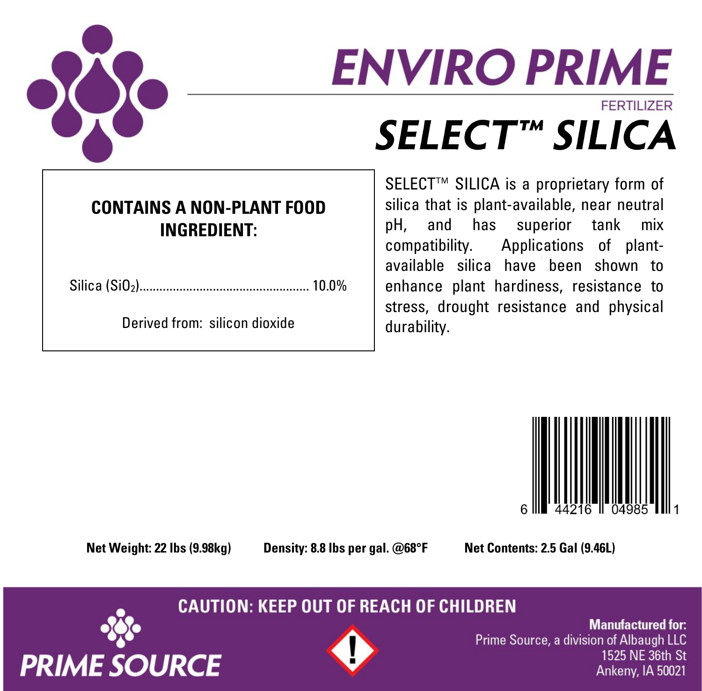

# **ENVIRO PRIME FFRTILIZER** SELECT™ SILICA

### **CONTAINS A NON-PLANT FOOD INGREDIENT:**

Silica (SiO2)................................................... 10.0%

Derived from: silicon dioxide

SELECT<sup>™</sup> SILICA is a proprietary form of silica that is plant-available, near neutral pH, and has superior tank mix compatibility. Applications of plantavailable silica have been shown to enhance plant hardiness, resistance to stress, drought resistance and physical durability.



**Net Weight: 22 lbs (9.98kg) Density: 8.8 lbs per gal. @68°F Net Contents: 2.5 Gal (9.46L)**

**CAUTION: KEEP OUT OF REACH OF CHILDREN** 





**Manufactured for:** Prime Source, a division of Albaugh LLC 1525 NE 36th St Ankeny, IA 50021